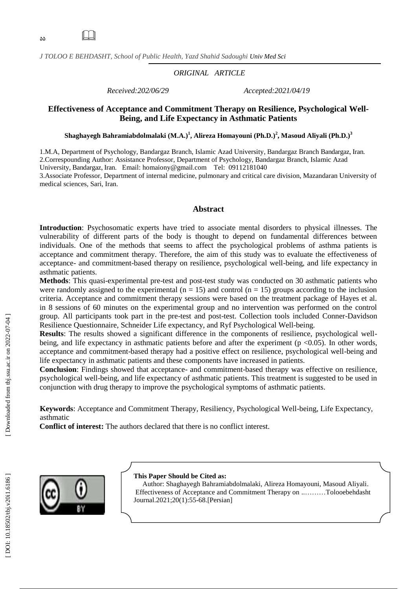$\Box$ 

*J TOLOO E BEHDASHT, School of Public Health , Yazd Shahid Sadoughi Univ Med Sci*

## *ORIGINAL ARTICLE*

*Received:202/06/29 Accepted:2021/04/19*

# **Effectiveness of Acceptance and Commitment Therapy on Resilience, Psychological Well - Being , and Life Expectancy in Asthmatic Patients**

 $\boldsymbol{\mathrm{Shag}}$ hayegh Bahramiabdolmalaki (M.A.) $^{1}$ , Alireza Homayouni (Ph.D.) $^{2}$ , Masoud Aliyali (Ph.D.) $^{3}$ 

1 . M . A, Department of Psychology, Bandargaz Branch, Islamic Azad University, Bandargaz Branch Bandargaz, Iran . 2.Correspounding Author: Assistance Professor, Department of Psychology, Bandargaz Branch, Islamic Azad University, Bandargaz, Iran . Email: [homaiony@gmail.com](mailto:homaiony@gmail.com) Tel: 09112181040

3 .Associate Professor, Department of internal medicine, pulmonary and critical care division, Mazandaran University of medical sciences, Sari, Iran .

#### **Abstract**

**Introduction**: Psychosomatic experts have tried to associate mental disorders to physical illnesses. The vulnerability of different parts of the body is thought to depend on fundamental differences between individuals. One of the methods that seems to affect the psychological problems of asthma patients is acceptance and commitment therapy. Therefore, the aim of this study was to evaluate the effectiveness of acceptance - and commitment -based therapy on resilience, psychological well -being, and life expectancy in asthmatic patients.

Methods: This quasi-experimental pre-test and post-test study was conducted on 30 asthmatic patients who were randomly assigned to the experimental ( $n = 15$ ) and control ( $n = 15$ ) groups according to the inclusion criteria. Acceptance and commitment therapy sessions were based on the treatment package of Hayes et al. in 8 sessions of 60 minutes on the experimental group and no intervention was performed on the control group. All participants took part in the pre -test and post -test. Collection tools included Conner -Davidson Resilience Questionnaire, Schneider Life expectancy, and Ryf Psychological Well -being.

Results: The results showed a significant difference in the components of resilience, psychological wellbeing, and life expectancy in asthmatic patients before and after the experiment (p <0.05). In other words, acceptance and commitment -based therapy had a positive effect on resilience, psychological well -being and life expectancy in asthmatic patients and these components have increased in patients.

Conclusion: Findings showed that acceptance- and commitment-based therapy was effective on resilience, psychological well -being, and life expectancy of asthmatic patients. This treatment is suggested to be used in conjunction with drug therapy to improve the psychological symptoms of asthmatic patients.

**Keywords**: Acceptance and Commitment Therapy, Resiliency, Psychological Well -being, Life Expectancy, asthmatic

**Conflict of interest:** The authors declared that there is no conflict interest.



#### **This Paper Should be Cited as:**

Author : Shaghayegh Bahramiabdolmalaki, Alireza Homayouni, Masoud Aliyali . Effectiveness of Acceptance and Commitment Therapy on ..………Tolooebehdasht Journal.202 1 ;20 ( 1):55 -68.[Persian ]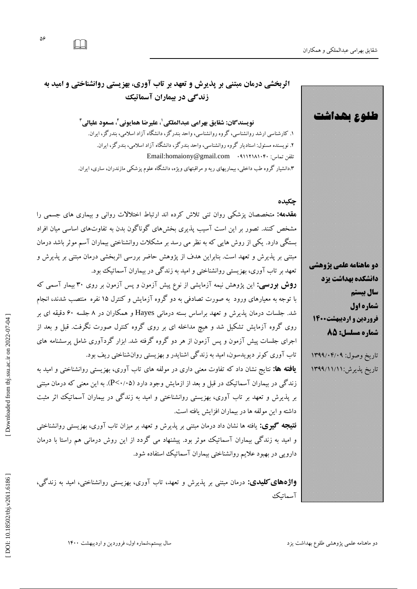**طلوع بهداشت** 

56

 [\[ DOI: 10.18502/tbj.v20i1.6186 \]](http://dx.doi.org/10.18502/tbj.v20i1.6186) [\[ Downloaded from tbj.ssu.ac.ir on 2022-07](http://tbj.ssu.ac.ir/article-1-3077-fa.html)-04 ]

DOI: 10.18502/tbj.v20i1.6186 ]

Downloaded from tbj.ssu.ac.ir on 2022-07-04

 $\Box$ 

# **اثربخشی درمان مبتنی بر پذیرش و تعهد بر تاب آوری، بهزیستی روانشناختی و امید به سنذگی در بیماران آسماتیک**

**نویسنذگان: شقایق بهزامی عبذالملکی ، علیزضا همایونی <sup>1</sup> ، مسعود علیالی <sup>2</sup>** ۱. کارشناسی ارشد روانشناسی، گروه روانشناسی، واحد بندرگز، دانشگاه آزاد اسلامی، بندرگز، ایران.<br>۲. نویسنده مسئول: استادیار گروه روانشناسی، واحد بندرگز، دانشگاه آزاد اسلامی، بندرگز، ایران. Email[:homaiony@gmail.com](mailto:homaiony@gmail.com) 09112181040 :توبن تلفي ۰.دانشیار کروه طب داخلی، بیماریهای ریه و مرافبتهای ویژه، دانشگاه علوم پزشکی مازندران، ساری، ایران.

# **چکیذه**

**مقدمه: م**تخصصان پزشكى روان تنى تلاش كرده اند ارتباط اختلالات روانى و بيمارى هاى جسمى را مشخص کنند. تصور بر این است آسیب پذیری بخشهای گوناگون بدن به تفاوتهای اساسی میان افراد یستگی دارد. یکی از روش هایی که به نظر می رسد بر مشکلات روانشناختی بیماران آسیم موثر باشد درمان مبتنی بر پذیرش و تعهد است. بنابراین هدف از پژوهش حاضر بررسی اثربخشی درمان مبتنی بر پذیرش و تَعَهَّدُ بَرْ تَابَ آوري، بهزيستي روانشناختي و اميد به زند کي در بيماران اسماتيک بود.

**روش بررسی:** این پژوهش نیمه آزمایشی از نوع پیش آزمون و پس آزمون بر روی ۳۰ بیمار آسمی که با توجه به معیارهای ورود ًبه صورت تصادفی به دو کروه آزمایش و کنترل ۱۵ نفره ًمنتصب شدند، انجام شد. جلسات درمان پذیرش و تعهد براساس بسته درمانی Hayes و همکاران در ۸ جلسه ۶۰ دقیقه ای بر روی کروه ازمایش تشکیل شد و هیچ مداخله ای بر روی کروه کنترل صورت نکرفت. قبل و بعد از اجرای جلسات پیش آزمون و پس آزمون از هر دو کروه کرفته شد. ابزار کردآوری شامل پرسشنامه های تاب آوری کونر دیویدسون، امید به زندگی اشنایدر و بهزیستی روان شناختی ریف بود.

**یافته ها:** نتایج نشان داد که تفاوت معنی داری در مولفه های تاب آوری، بهزیستی روانشناختی و امید به زندگی در بیماران آسماتیک در قبل و بعد از ازمایش وجود دارد (P<۰/۰۵). به این معنی که درمان مبتنی بر پذیرش و تعهد بر تاب اوری، بهزیستی روانشناختی و امید به زندگی در بیماران اسماتیک اثر مثبت داشته و اين مولفه ها در بيماران افزايش يافته است.

**نتیجه گیری:** یافته ها نشان داد درمان مبتنی بر پذیرش و تعهد بر میزان تاب آوری، بهزیستی روانشناختی به زندگی بیماران اسماتیک موثر بود. پیشنهاد می کردد از این روش درمانی هم راستا با درمان دارویی در بهبود علایم روانشناختی بیماران آسماتیک استفاده شود.

**کلیدی:** درمان مبتنی بر پذیرش و تعهد، تاب آوری، بهزیستی روانشناختی، امید به زندگی، آسماتیک



تاريخ وصول: ۱۳۹۹/۰۴/۰۹ تاريخ پديرش:۱۳۹۹/۱۱/۱۱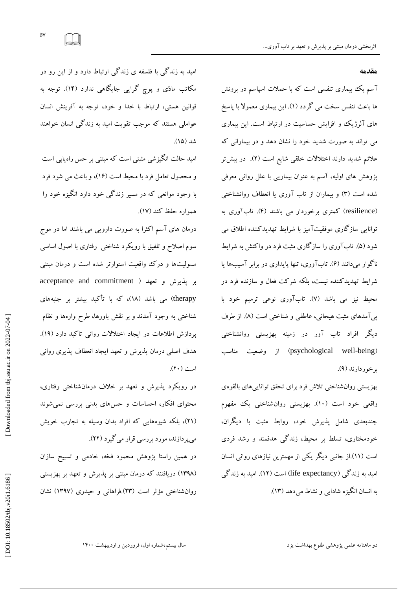**مقذمه**

ا سم یک بیماری تنفسی است که با حملات اسپاسم در برونش ها باعث تنفس سخت می کردد (۱). این بیماری معمولاً با پاسخ های الرژیک و افزایش حساسیت در ارتباط است. این بیماری می تواند به صورت شدید خود را نشان دهد و در بیمارانی که علائم شدید دارند اختلالات خلقی شایع است (۲). در بیش تر پژوهش های اولیه، اسم به عنوان بیماریی با علل روانی معرفی شده است (۳) و بیماران از تاب آوری یا انعطاف روانشناختی (resilience) کمتری برخوردار می باشند (۴). تابآوری به توانایه سازگاری موفقیتآمیز با شرایط تهدیدکننده اطلاق می شود (۵). تاب اوری را ساز کاری مثبت فرد در وا کنش به شرایط نا کوار میدانند (۶). تاب آوری، تنها پایداری در برابر اسیبها یا شرایط تهدید کننده نیست، بلکه شرکت فعال و سازنده فرد در محیط نیز می باشد (V). تاباوری نوعی ترمیم خود با پی امدهای مثبت هیجانی، عاطفی و شناختی است (۸). از طرف دیگر افراد تاب آور در زمینه بهزیستی روانشناختی (psychological well-being) از وضعیت مناسب برخوردارند (۹).

بَهزيستي روان شناختي تلاش فرد براى تحقق توانايىهاى بالقوهى واقعی خود است (۱۰). بهزیستی روانشناختی یک مفهوم چندبعدی شامل پذیرش خود، روابط مثبت با دیگران، خودمختارى، تسلط بر محيط، زندگی هدفمند و رشد فردى است (١١).از جانبي ديگر يکي از مهمترين نيازهاي رواني انسان امید به زندگ<sub>ی</sub> (life expectancy) است (۱۲). امید به زندگ<sub>ی</sub> به انسان انگیزه شادابی و نشاط میدهد (۱۳).

امید به زند کی با فلسفه ی زند کی ارتباط دارد و از این رو در مکاتب مادّی و پوچ کرایی جایگاهی ندارد (۱۴). توجه به قوانین هستی، ارتباط با خُدًا و خُود، توجه به آفرینش انسان عواملی هستند که موجب تقویت امید به زندگی انسان خواهند شد (۱۵).

امید حالت انگیزشی مثبتی است که مبتنی بر حس راهیابی است و محصول تعامل فرد با محیط است (۱۶)، و باعث می شود فرد با وجود موانعی که در مسیر زندگی خود دارد انگیزه خود را همواره حفظ كند (١٧).

درمان های آسم اکثرا به صورت دارویی می باشند اما در موج سوم اصلاح و تلفیق با رویکرد شناختبی رفتاری با اصول اساسی مسولیتها و درک واقعیت استوارتر شده است و درمان مبتنی بر پذيرش و تعهد ( acceptance and commitment therapy) می باشد (۱۸)، که با تأکید بیشتر بر جنبههای شناختی به وجود آمدند و بر نقش باورها، طرح وارهها و نظام پردازش اطلاعات در ایجاد اختلالات روانی تاکید دارد (۱۹). هدف اصلی درمان پذیرش و تعهد ایجاد انعطاف پذیری روانی است (۲۰).

در رويكرد پذيرش و تعهد بر خلاف درمانشناختى رفتارى، محتوای افکار، احساسات و حسّهای بدنی بررسی نمیشوند (۲۱)، بلکه شیوههایی که افراد بدان وسیله به تجارب خویش میپردازند، مورد بررسی قرار می گیرد (۲۲).

در همین راستا پژوهش محمود فخه، خادمی و تسبیح سازان (۱۳۹۸) دریافتند که درمان مبتنی بر پدیرش و تعهد بر بهزیستی روان شناختی مؤثر است (۲۳).فراهانی و حیدری (۱۳۹۷) نشان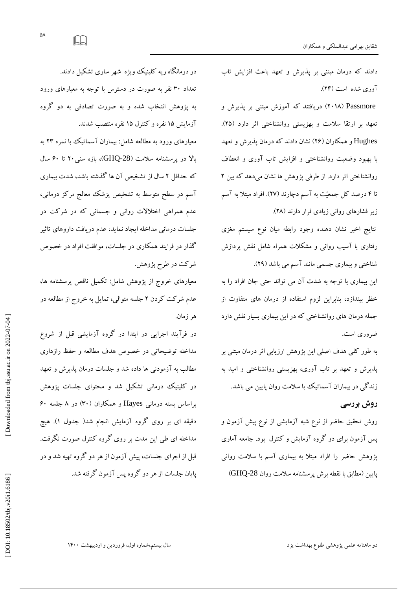دند که درمان مبتنی بر پدیرش و تعهد باعث افزایش تاب آوري شده است (۲۴).

Passmore (۲۰۱۸) دریافتند که آموزش مبتنی بر پذیرش و تعهد بر ارتقا سلامت و بهزيستی روانشناختی اثر دارد (۲۵). Hughes و همكاران (٢۶) نشان دادند كه درمان يذيرش و تعهد باً بهبود وضعیت روانشناختی و افزایش تاب آوری و انعطاف<br>روانشناختی اثر دارد. از طرفی پژوهش ها نشان میدهد که بین ۲ تا ۴ درصد کل جمعیّت به اسم دچارند (۲۷). افراد مبتلاً به اسم زیر فشارهای روانی زیادی قرار دارند (۲۸).

نتايج اخير نشان دهنده وجود رابطه ميان نوع سيستم مغزى رفتاری با آسیب روانی و مشکلات همراه شامل نقش پردازش شناختی و بیماری جسمی مانند اسم می باشد (۲۹).

اين بيماري با توجه به شدت آن مي تواند حتى جان افراد را به خطر بيندازد، بنابراين لزوم استفاده از درمان هاى متفاوت از جمله درمان هاى روانشناختى كه در اين بيمارى بسيار نقش دارد ضروري است.

به طور کلی هدف اصلی این پژوهش ارزیابی اثر درمان مبتنی بر ېدیرش و تعهد بر تاب اوری، بهزیستی روانشناختی و امید به زند کی در بیماران اسماتیک با سلامت روان پایین می باشد.

# **روش بزرسی**

روش تحقیق حاضر از نوع شبه ازمایشی از نوع پیش ازمون و پس آزمون برای دو کروه آزمایش و کنترل بود. جامعه آماری پژوهش حاضر را افراد مبتلا به بیماری آسم با سلامت روانی<br>پایین (مطابق با نقطه برش یرسشنامه سلامت روان GHQ-28)

در درمانکاه ریه کلینیک ویژه شهر ساری تشکیل دادند. تعداد ۳۰ نفر به صورت در دسترس با توجه به معیارهای ورود به پژوهش انتخاب شده و به صورت تصادفی به دو گروه<br>آزمایش ۱۵ نفره و کنترل ۱۵ نفره منتصب شدند.

معیارهای ورود به مطالعه شامل: بیماران اسماتیک با نمره ۲۳ به بالا در پرسشنامه سلامت (GHQ-28)، بازه سنی۲۰ تا ۶۰ سال که حداقل ۲ سال از تشخیص آن ها کذشته باشد، شدت بیماری ا سم در سطح متوسط به تشخیص پزشک معالج مر کز درمانی، عدم همراهی اختلالات روانی و جسمانی که در شرکت در جلسات درمانی مداخله ایجاد نماید، عدم دریافت داروهای تاثیر گذار در فرایند همکاری در جلسات، موافقت افراد در خصوص شركت در طرح پژوهش.

معیارهای خروج از پژوهش شامل: تکمیل ناقص پرسشنامه ها، عَدَم شر کت کردن ۲ جلسه متوالی، تمایل به خروج از مطالعه در هر زمان.

در فرآیند اجرایی در ابتدا در گروه آزمایشی قبل از شروع مداخله توضیحاتی در خصوص هدف مطالعه و حفظ رازداری مطالب به آزمودنی ها داده شد و جلسات درمان پدیرش و تعهد در کلینیک درمانی تشکیل شد و محتوای جلسات پژوهش براساس بسته درمانی Hayes و همکاران (۳۰) در ۸ جلسه ۶۰ دقیقه ای بر روی گروه آزمایش انجام شد( جدول ۱). هیچ مداخله ای طی این مدت بر روی گروه کنترل صورت نگرفت. قبل از اجرای جلسات، پیش ازمون از هر دو کروه تهیه شد و در پایان جلسات از هر دو گروه پس آزمون گرفته شد.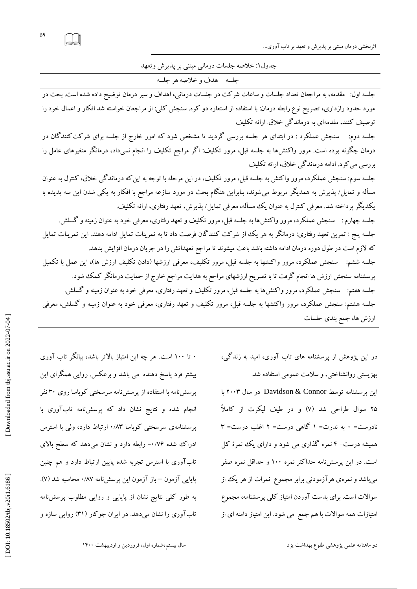اثربخشی درمان مبتنی بر پذیرش و تعهد بر تاب آوری...

جدُول ١: خلاصه جلسات درماني مبتني بر پديرش وتعهد

جلسه هدف و خلاصه هر جلسه

جلسه اول: مقدمه، به مراجعان تعداد جلسات و ساعات شركت در جلسات درماني، اهداف و سير درمان توضيح داده شده است. بحث در مورد حدود رازدارى، تصريح نوع رابطه درمان: با استفاده از استعاره دو كوه. سنجش كلي: از مراجعان خواسته شد افكار و اعمال خود را توصیف کنند، مقدمهای به درماندگی خلاق. ارائه تکلیف

جلسه دوم: سنجش عملکرد : در ابتداى هر جلسه بررسى گرديد تا مشخص شود که امور خارج از جلسه براى شرکت کنندگان در درمان چگونه بوده است. مرور واکنشها به جلسه قبل، مرور تکلیف: اگر مراجع تکلیف را انجام نمیداد، درمانگر متغیرهای عامل را بررسی می کرد. ادامه درماندگی خلاق، ارائه تکلیف

جلسه سوم: سنجش عملکرد، مرور واکنش به جلسه قبل، مرور تکلیف، در این مرحله با توجه به این که درماندگی خلاق، کنترل به عنوان مسأله و تمایل⁄ پذیرش به همدیگر مربوط می شوند، بنابراین هنگام بحث در مورد منازعه مراجع با افکار به یکی شدن این سه پدیده با یکدیگر پرداخته شد. معرفی کنترل به عنوان یک مسأله، معرفی تمایل/پذیرش، تعهد رفتاری، ارائه تکلیف.<br>جلسه چهارم : سنجش عملکرد، مرور واکنش۵ا به جلسه قبل، مرور تکلیف و تعهد رفتاری، معرفی خود به عنوان زمینه و گسلش جلسه پنج : تمرین تعهد رفتاری: درمانگر به هر یک از شرکت کنندگان فرصت داد تا به تمرینات تمایل ادامه دهند. این تمرینات تمایل<br>که لازم است در طول دوره درمان ادامه داشته باشد باعث میشوند تا مراجع تعهداتش را در جریان درمان افزای دادن تكليف ارزش ها)، اين عمل با تكميل پرسشنامه سنجش ارزش ها انجام گرفت تا با تصریح ارزشهای مراجع به هدایت مراجع خارج از حمایت درمانگر کمک شود.<br>جلسه هفتم: سنجش عملکرد، مرور واکنش۵ا به جلسه قبل، مرور تکلیف و تعهد رفتاری، معرفی خود به عنوان زمینه و گسلش جلسه هشتم: سنجش عملکرد، مرور واکنشها به جلسه قبل، مرور تکلیف و تعهد رفتاری، معرفی خود به عنوان زمینه و کسلش، معرفی ارزش ها، جمع بندي جلسات

> در اين پژوهش از پرسشنامه های تاب آوری، اميد به زندگی، بهزیستی روانشناختی، و سلامت عمومی استفاده شد. اين پرسشنامه توسط Davidson & Connor در سال ۲۰۰۳ با ۲۵ سوال طراحی شد (۷) و در طیف لیکرت از کاملا نادرست= ۰ به ندرت= ۱ کاهی درست= ۲ اغلب درست= ۳ همیشه درست= ۴ نمره کداری می شود و دارای یک نمرهٔ کل است. در اين پرسشiامه حداكثر نمره ١٠٠ و حداقل نمره صفر میباشد و نمرهی هرآزمودنی برابر مجموع ً نمرات از هر یک از سوالات است. برای بدست آوردن امتیاز کلی پرسشنامه، مجموع امتیازات همه سوالات با هم جمع ً می شود. این امتیاز دامنه ای از

۰ تا ۱۰۰ است. هر چه این امتیاز بالاتر باشد، بیانکر تاب اوری بیشتر فرد پاسخ دهنده ً می باشد و برعکس. روایی همگرای این پرسشنامه با استفاده از پرسشنامه سرسختی کوباسا روی ۳۰ نفر انجام شده و نتايج نشان داد كه پرسشiامه تابآورى با پرسشنامهی سرسختی کوباسا ۰/۸۳ ارتباط دارد، ولی با استرس ادراک شده ۰/۷۶– رابطه دارد و نشان مىدهد که سطح بالای تابآوري با استرس تجربه شده پايين ارتباط دارد و هم چنين پایایی آزمون —باز آزمون این پرسشiامه ۰/۸۷ محاسبه شد (۷). به طور کلی نتایج نشان از پایایی و روایی مطلوب پرسش نامه تاب اوری را نشان میدهد. در ایران جو کار (۳۱) روایی سازه و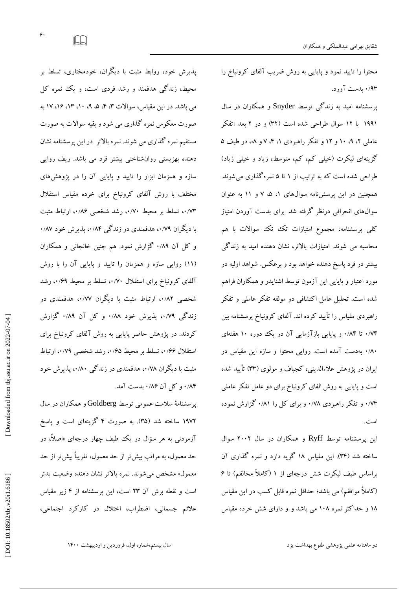پذيرش خود، روابط مثبت با ديگران، خودمختارى، تسلط بر محیط، زندگی هدفمند و رشد فردی است، و یک نمره کل می باشد. در این مقیاس، سوالات ۳، ۴، ۵، ۹، ۱.، ۱۳، ۱۶، ۱۷ به صورت معکوس نمره گذاری می شود و بقیه سوالات به صورت مستقيم نمره کداری می شوند. نمره بالاتر ً در اين پرسشنامه نشان دهنده بهزیستی روانشناختی بیشتر فرد می باشد. ریف روایی سازه و همزمان ابزار را تاييد و پايايى آن را در پژوهشهاى مختلف با روش آلفای کرونباخ برای خرده مقیاس استقلال ۰٬۷۳ تسلط بر محیط ۰۰/۷۰، رشد شخصی ۰۰/۸۶ ارتباط مثبت با دیگران ۰/۷۹، هدفمندی در زندگی ۰/۸۴، پذیرش خود ۰/۸۷ و کل آن ۰/۸۹ کزارش نمود. هم چنین خانجانی و همکاران (۱۱) روایی سازه و همزمان را تایید و پایایی آن را با روش آلفای کرونباخ برای استقلال ۰۰/۷۰ تسلط بر محیط ۰۰/۶۹ رشد شخصی ۰٬۸۲ ارتباط مثبت با دیگران ۰٬۷۷۷ هدفمندی در زندگی ۰/۷۹، پدیرش خود ۰/۸۸ و کل آن ۰/۸۹ کزارش کردند. در پژوهش حاضر پایایی به روش آلفای کرونباخ برای استقلال ۰٬/۶۶ تسلط بر محیط ۰٬/۶۵ رشد شخصی ۰٬/۷۹ ارتباط مثبت با دیگران ۰٬۷۸ هدفمندی در زند کی ۰٬۸۰، پدیرش خود ۸۴/۰ و کل آن ۸۶/۰ بدست آمد.

پرسشنامهٔ سلامت عمومی توسط Goldberg و همکاران در سال ۱۹۷۲ ساخته شد (۳۵). به صورت ۴ کزینهای است و پاسخ آزمودنی به هر سؤال در یک طیف چهار درجهای «اصلاً، در حد معمول، به مراتب بیش تر از حد معمول، تقریباً بیش تر از حد معمول» مشخص مى شوند. نمره بالاتر نشان دهنده وضعيت بدتر است و نقطه برش آن ۲۳ است، اين پرسشنامه از ۴ زير مقياس علائم جسماني، اضطراب، اختلال در كاركرد اجتماعي،

محتوا را تایید نمود و پایایی به روش ضریب آلفای کرونباخ را<br>۰/۹۳ <sub>ن</sub>دست آورد.

پرسشنامه امید به زندگی توسط Snyder و همکاران در سال ۱۹۹۱ با ۱۲ سوال طراحی شده است (۳۲) و در ۲ بعد «تفکر عاملی ۲، ۹، ۹ و ۱۲ و تفکر راهبردی ۱، ۳، ۷ و ۸»، در طیف ۵ گزینهای لیکرت (خیلبی کم، کم، متوسط، زیاد و خیلبی زیاد) طراحی شده است که به ترتیب از ۱ تا ۵ نمره کذاری میشوند. همچنین در این پرسشiامه سوالهای ۱، ۵، ۷ و ۱۱ به عنوان سوال&ای انحرافی درنظر گرفته شد. برای بدست آوردن امتیاز کلی پرسشنامه، مجموع امتیازات تک تک سوالات با هم محاسبه می شوند. امتیازات بالاتر، نشان دهنده امید به زندگی بیشتر در فرد پاسخ دهنده خواهد بود و برعکس. شواهد اولیه در مورد اعتبار و پایایی این آزمون توسط اشنایدر و همکاران فراهم شده است. تحلیل عامل اکتشافی دو مولفه تفکر عاملی و تفکر راهبردی مقیاس را تایید کرده اند. آلفای کرونباخ پرسشنامه بین ۰/۷۴ تا ۸۴/۰ و پایایی بازازمایی آن در یک دوره ۱۰ هفتهای ۸۰٪ بهدست امده است. روایی محتوا و سازه این مقیاس در یران در پژوهش علاءالدینی، کجباف و مولوی (۳۳) تایید شده است و پایایی به روش الفای کرونباخ برای دو عامل تفکر عاملی ۰/۷۳ و تفکر راهبردی ۰/۷۸ و برای کل را ۰/۸۱ کزارش نموده است.

اين پرسشنامه توسط Ryff و همكاران در سال ۲۰۰۲ سوال ساخته شد (۳۴). این مقیاس ۱۸ گویه دارد و نمره گذاری آن<br>براساس طیف لیکرت شش درجهای از ۱ (کاملاً مخالفم) تا ۶ (كاملاً موافقم) مي باشد؛ حداقل نمره قابل كسب در اين مقياس ۱۸ و حداکثر نمره ۱۰۸ می باشد و و دارای شش خرده مقیاس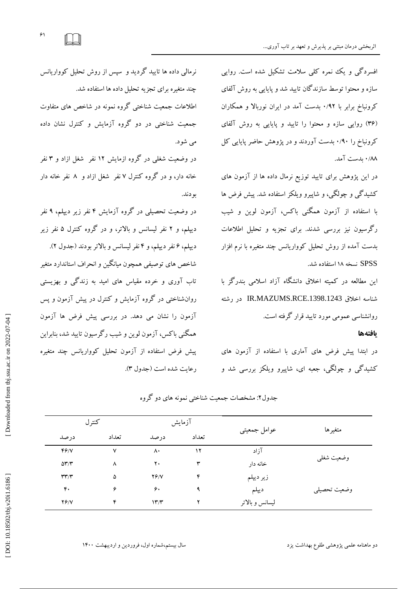افسردگی و یک نمره کلی سلامت تشکیل شده است. روایی سازه و محتوا توسط سازندگان تاييد شد و پايايي به روش آلفاي کرونباخ برابر با ۰/۹۲ بدست امد در ایران نوربالا و همکاران (۳۶) روایی سازه و محتوا را تایید و پایایی به روش آلفای گرونباخ را ۰/۹۰ بدست آوردند و در پژوهش حاضر پایایی کل ۸۸/۰ بدست آمد.

در اين پژوهش براى تاييد توزيع نرمال داده ها از آزمون هاى کشید کی و چولکی، و شاپیرو ویلکز استفاده شد. پیش فرض ها با استفاده از آزمون همگنى باكس، آزمون لوين و شيب ر گرسیون نیز بررسی شدند. برای تجزیه و تحلیل اطلاعات بدست آمده از روش تحلیل کوواریانس چند متغیره با نرم افزار SPSS نسخه ۱۸ استفاده شد.

اين مطالعه در كميته اخلاق دانشگاه آزاد اسلامی بندرگز با شناسه اخلاق IR.MAZUMS.RCE.1398.1243<br>روانشناسی عمومی مورد تایید قرار گرفته است.

### **یافتهها**

در ابتدا پیش فرض هاى آمارى با استفاده از آزمون هاى كشيد كې و چولكى، جعبه اى، شاپيرو ويلكز بررسى شد و

آزمایش بودن و تفاوت است.<br>ا هتغ٘فّب ػَاهل خوؼ٘تٖ تعداد درصد تعداد درصد آ; اد  $\mathbf{v}$  $\Lambda$  $\frac{17}{1}$ 46/Y y<br>A وضعيت شغلبي  $\lambda$  $\gamma$ . خانه دار  $\delta r/\tau$  $\mathbf{\hat{r}}$ ۵ زير ديپلم  $\mathsf{y} \mathsf{y} \mathsf{y}$ ۵<br>۴<br>۴ 96/Y ۴<br>م  $\mathfrak{e}$  $\ddot{\phantom{0}}$  $\epsilon$  $\ddot{\mathbf{a}}$ ديپلم وضعيت تحصيلي  $\mathbf{\hat{r}}$  $\mathbf{r}$ ليسانس و بالاتر 16/V  $17/T$ 

جدول۲: مشخصات جمعیت شناختی نمونه های دو کروه

نرمالی داده ها تایید گردید و سپس از روش تحلیل کوواریانس چند متغیره برای تجزیه تحلیل داده ها استفاده شد.

اطلاعات جمعیت شناختی کروه نمونه در شاخص های متفاوت جمعیت شناختی در دو کروه ازمایش و کنترل نشان داده می شود.

> در وضعیت شغلی در کروه ازمایش ۱۲ نفر ً شغل ازاد و ۳ نفر خانه دار، و در کروه کنترل ۷ نفر ًشغل ازاد و ۸ نفر خانه دار بودند.

> در وضعیت تحصیلی در کروه آزمایش ۴ نفر زیر دیپلم، ۹ نفر نفر لیسانس و بالاتر، و در کروه کنترل ۵ نفر زیر ديپلم، ۶ نفر ديپلم، و ۴ نفر ليسانس و بالاتر بودند (جدول ٢). شاخص های توصیفی همچون میانکین و انحراف استاندارد متغیر تاب اوری و خرده مقیاس های امید به زندگی و بهزیستی روان شناختی در کروه آزمایش و کنترل در پیش آزمون و پس ازمون را نشان مى دهد. در بررسى پيش فرض ها ازمون همگنی باکس، آزمون لوین و شیب رگرسیون تایید شد، بنابراین پیش فرض استفاده از آزمون تحلیل کوواریانس چند متغیره<br>رعایت شده است (جدول ۳).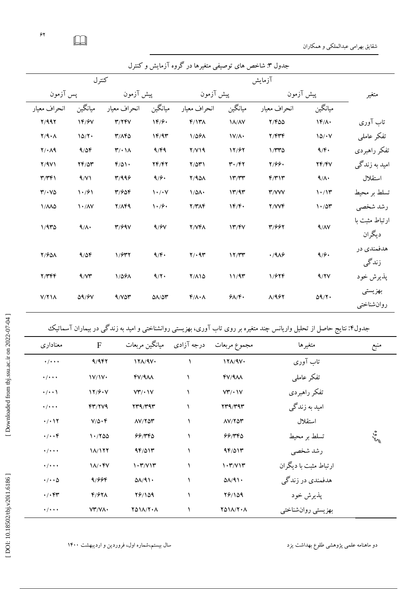$\gamma$  $\Box$ 

شقايق بهرامي عبدالملكي و همكاران

| جدول ۳: شاخص های توصیفی متغیرها در کروه آزمایش و کنترل |                                   |                                     |                                         |                           |                               |                     |               |                |  |  |  |  |
|--------------------------------------------------------|-----------------------------------|-------------------------------------|-----------------------------------------|---------------------------|-------------------------------|---------------------|---------------|----------------|--|--|--|--|
| كنترل                                                  |                                   |                                     |                                         |                           |                               |                     |               |                |  |  |  |  |
| پس آزمون                                               |                                   | پیش آزمون                           |                                         | پیش آزمون                 |                               | پیش آزمون           |               | متغير          |  |  |  |  |
| انحراف معيار                                           | ميانگين                           | انحراف معيار                        | ميانگين                                 | انحراف معيار              | ميانگين                       | انحراف معيار        | ميانگين       |                |  |  |  |  |
| Y/99Y                                                  | 14/9                              | T/TfV                               | 1F/F                                    | $F/17\lambda$             | <b>IA/AV</b>                  | $Y/F\Delta\Delta$   | $\mathcal{N}$ | تاب آوری       |  |  |  |  |
| $Y/A \cdot A$                                          | 10/7.                             | T/AP                                | 1F/9T                                   | 1/091                     | $\mathcal{N}/\mathcal{N}$     | Y/FYF               | 10/1V         | تفكر عاملي     |  |  |  |  |
| $Y/\cdot \Lambda$ 9                                    | 9/09                              | $\mathbf{r}/\cdot\mathbf{1}\Lambda$ | 9/49                                    | Y/Y                       | 17/97                         | $1/\tau\tau\Delta$  | 9/6           | تفكر راهبردي   |  |  |  |  |
| Y/9V                                                   | $YF/\Delta Y$                     | $F/\Delta$ 1.                       | YF/FY                                   | $Y/\Delta Y$              | $\mathbf{r} \cdot \mathbf{r}$ | 7/99.               | YF/FV         | امید به زندگی  |  |  |  |  |
| $\mathbf{r}/\mathbf{r}$                                | 9/11                              | T/999                               | 9/9.                                    | Y/90A                     | 17/TT                         | F/T                 | 9/1.          | استقلال        |  |  |  |  |
| $Y/\cdot V\Delta$                                      | 1.791                             | 31904                               | $\mathcal{N} \cdot / \cdot \mathcal{N}$ | $1/\Delta\Lambda$         | 17/97                         | <b><i>T/VVV</i></b> | 1.77          | تسلط بر محيط   |  |  |  |  |
| 1/110                                                  | $\mathcal{N} \cdot / \mathcal{N}$ | Y/AF9                               | $\mathcal{N} \cdot \mathcal{S}$         | $Y/Y\wedge Y$             | 1F/F.                         | Y/VVF               | 1.70          | رشد شخصي       |  |  |  |  |
| 1/970                                                  | 9/1.                              | T/99V                               | 9/9V                                    | Y/VFA                     | 17/5V                         | 31997               | 9/1           | ارتباط مثبت با |  |  |  |  |
|                                                        |                                   |                                     |                                         |                           |                               |                     |               | ديگران         |  |  |  |  |
| <b>Y/901</b>                                           | 9/09                              | 1/577                               | 9/F.                                    | $Y/\cdot$ 9٣              | 17/TT                         | $\cdot$ /916        | 9/9.          | هدفمندي در     |  |  |  |  |
|                                                        |                                   |                                     |                                         |                           |                               |                     |               | زندگی          |  |  |  |  |
| Y/YFF                                                  | 9/5                               | 1/091                               | 9/7.                                    | $Y/\Lambda$ 10            | 11/9                          | 1/۶۲۴               | 9/7V          | پذيرش خود      |  |  |  |  |
| $V/Y$ $\Lambda$                                        | <b>09/9V</b>                      | 9/107                               | $\Delta\lambda/\Delta\tau$              | $f/\lambda \cdot \lambda$ | $9\Lambda/F$                  | A/957               | $\Delta$ 9/٢٠ | بهزيستى        |  |  |  |  |
|                                                        |                                   |                                     |                                         |                           |                               |                     |               | روان شناختبي   |  |  |  |  |

جدول۴: نتایج حاصل از تحلیل واریانس چند متغیره بر روی تاب آوری، بهزیستی روانشناختی و امید به زندگی در بیماران آسماتیک

| معناداري                       | $\overline{F}$     |                                           | مجموع مربعات درجه آزادی میانگین مربعات   | متغير ها              | منبع                             |
|--------------------------------|--------------------|-------------------------------------------|------------------------------------------|-----------------------|----------------------------------|
| $\cdot$ / $\cdot$ $\cdot$      | 9/9                | 17A/9V                                    | 17A/9V                                   | تاب آوری              |                                  |
| $\cdot$ / $\cdot$ $\cdot$      | 1V/1V              | $fV/4\Lambda\Lambda$                      | $fV/4\Lambda\Lambda$                     | تفكر عاملي            |                                  |
| $\cdot/\cdot\cdot$             | 17/9. V            | VT/1V                                     | VT/1V                                    | تفكر راهبردى          |                                  |
| $\cdot$ / $\cdot$ $\cdot$      | FT/7V9             | $\mathbf{Y}^{\mu}$ 9/ $\mathbf{Y}^{\mu}$  | $\mathbf{Y}^{\mu}$ 9/ $\mathbf{Y}^{\mu}$ | امید به زندگی         |                                  |
| $\cdot$ / $\cdot$ \ $\Upsilon$ | $V/\Delta \cdot F$ | $\Lambda V/Y \Delta Y$                    | $\Lambda V/Y \Delta Y$                   | استقلال               |                                  |
| $\cdot/\cdot\cdot$ ۴           | 1.700              | 99/140                                    | 66/360                                   | تسلط بر محیط          | $\tilde{\mathcal{L}}_{\text{M}}$ |
| $\cdot$ / $\cdot$ + $\cdot$    | 18/177             | $9F/\Delta 1T$                            | $9F/\Delta 1F$                           | رشد شخصي              |                                  |
| $\cdot$ / $\cdot$ +            | $1/\sqrt{Y}$       | 1.7/V17                                   | 1.7/V17                                  | ارتباط مثبت با دیگران |                                  |
| $\cdot/\cdot\cdot\Delta$       | 9/996              | $\Delta\lambda/\mathcal{A}\setminus\cdot$ | $\Delta\lambda$ /91.                     | هدفمندي در زندگي      |                                  |
| $\cdot/\cdot$ ۴۳               | $F/FY\Lambda$      | 18/109                                    | 78/109                                   | پذيرش خود             |                                  |
| $\cdot$ / $\cdot$ + $\cdot$    | VY/Y               | YA11/7.A                                  | <b>YA11/Y.A</b>                          | بهزيستي روان شناختي   |                                  |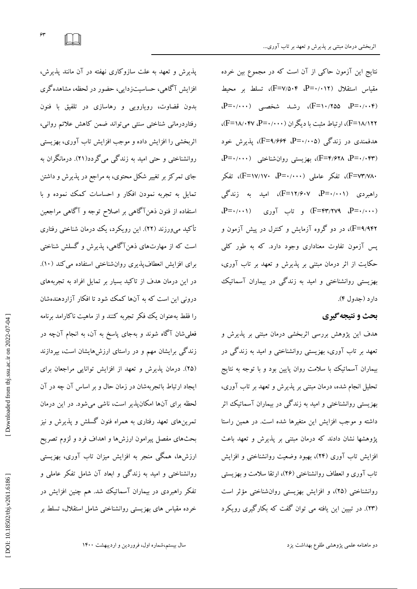نتايج اين آزمون حاكى از آن است كه در مجموع بين خرده مقياس استقلال (F=V/۵۰۴، P=۰/۰۱۲)، تسلط بر محيط (P=۰/۰۰۴)، رشد شخصی (P=۰/۰۰۴)، رشد شخصی F=۱۸/۱۲۲)، ارتباط مثبت با دیگران (۴۷۰۰۰-P)، ۴۷). هدفمندی در زندگی (۴=۰/۰۰۵-P، ۴=۹/۶۶۴)، پذیرش خود (F=۴/۶۲۸ ،P=۰/۰۴۳)، بهزیستی روانشناختی (۱۰۰۰-،P=۰ ۰۸۲/۱۷۰=F)، تفکر عاملی (۲۰۰۰۰-P)، تفکر راهبردی (P=۰/۰۰۱، F=۱۲/۶۰۷، امید به زندگی (F=۴۳/۲۷۹ ،P=۰/۰۰۰) و تاب آوری (P=۰/۰۰۱). F=۹/۹۴۲)، در دو گروه آزمایش و کنترل در پیش آزمون و پس آزمون تفاوت معناداری وجود دارد. که به طور کل<sub>ی</sub><br>حکایت از اثر درمان مبتنی بر پذیرش و تعهد بر تاب آوری،<br>بهزیستی روانشناختی و امید به زندگی در بیماران آسماتیک<br>**دارد (ج**دول۴).<br>**بحث و نتیجه<sup>ی</sup>میری** 

هدف اين پژوهش بررسی اثربخشی درمان مبتنی بر پدیرش و نعهد بر تاب اوری، بهزیستی روانشناختی و امید به زندگی در بیماران اسماتیک با سلامت روان پایین بود و با توجه به نتایج تحلیل انجام شده، درمان مبتنی بر پدیرش و تعهد بر تاب آوری، بهزیستی روانشناختی و امید به زندگی در بیماران اسماتیک اثر داشته و موجب افزايش اين متغيرها شده است. در همين راستا پژوهشها نشان دادند که درمان مبتنی بر پدیرش و تعهد باعث فزایش تاب اوری (۲۴)، بهبود وضعیت روانشناخت<sub>ی</sub> و افزایش تاب آوري و انعطاف روانشناختی (۲۶)، ارتقا سلامت و بهزیستی روانشناختی (۲۵)، و افزایش بهزیستی روانشناختی مؤثر است (٢٣). در تبيين اين يافته مى توان گفت كه بكار كيرى رويكرد

پدیرش و تعهد به علت سازو کاری نهفته در آن مانند پدیرش، کاهی، حساسیتزدایی، حضور در لحظه، مشاهده کری بدون قضاوت، رویارویی و رهاسازی در تلفیق با فنون<br>رفتاردرمانی شناختی سنتی میتواند ضمن کاهش علائم روانی، اثربخشی را افزایش داده و موجب افزایش تاب آوری، بهزیستی روانشناختی و حتی امید به زِندگی می گردد(۲۱). درمانگران به جای تمر کز بر تغییر شکل محتوی، به مراجع در پذیرش و داشتن تمایل به تجربه نمودن افکار و احساسات کمک نموده و با استفاده از فنون دهن! کاهی بر اصلاح توجه و ۱ کاهی مراجعین تاکید میورزند (۲۲). این رویکرد، یک درمان شناختی رفتاری است که از مهارتهای ذهنِ! کاهی، پدیرش و کسلش شناختی برای افزایش انعطافپدیری روانشناختی استفاده می کند (۱۰). در این درمان هدف از تاکید بسیار بر تمایل افراد به تجربههای درونی این است که به آنها کمک شود تا افکار آزاردهندهشان را فقط بهعنوان یک فکر تجربه کنند و از ماهیت ناکارامد برنامه فعلیشان آکاه شوند و بهجای پاسخ به آن، به انجام آنچه در زندکی برایشان مهم و در راستای ارزشهایشان است، بپردازند (۲۵). درمان پدیرش و تعهد از افزایش توانایی مراجعان برای ارتباط باتجربهشان در زمان حال و بر اساس آن چه در آن لحظه براى آنها امكانپذير است، ناشى مىشود. در اين درمان تمرینهای تعهد رفتاری به همراه فنون کسلش و پدیرش و نیز بحثهای مفصل پیرامون ارزشها و اهداف فرد و لزوم تصریح ارزشها، همکی منجر به افزایش میزان تاب اوری، بهزیستی روانشناختی و امید به زندگی و ابعاد آن شامل تفکر عاملی و تفکر راهبردی در بیماران آسماتیک شد. هم چنین افزایش در خرده مقیاس های بهزیستی روانشناختی شامل استقلال، تسلط بر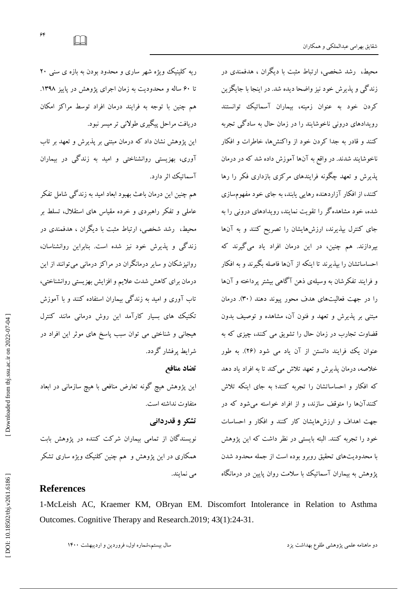محیط، رشد شخصی، ارتباط مثبت با دیگران ، هدفمندی در زند کی و پدیرش خود نیز واضحا دیده شد. در اینجا با جایگزین کردن خود به عنوان زمینه، بیماران اسماتیک توانستند رویدادهای درونی ناخوشایند را در زمان حال به سادگی تجربه کنند و قادر به جدا کردن خود از واکنشها، خاطرات و افکار ناخوشایند شدند. در واقع به آنها آموزش داده شد که در درمان ېدیرش و تعهد چکونه فرایندهای مرکزی بازداری فکر را رها کنند، از افکار آزاردهنده رهایی یابند، به جای خود مفهومسازی شّده، خود مشاهده کر را تقویت نمایند، رویدادهای درونی را به جای کنترل بپذیرند، ارزشهایشان را تصریح کنند و به آنها پیردازند. هم چنین، در این درمان افراد یاد می کیرند که حساساتشان را بپدیرند تا اینکه از آنها فاصله بکیرند و به افکار و فرایند تفکرشان به وسیلهی ذهن ا کاهی بیشتر پرداخته و آنها را در جهت فعالیتهای هدف محور پیوند دهند (۳۰). درمان مبتنی بر پدیرش و تعهد و فنون آن، مشاهده و توصیف بدون فضاوت تجارب در زمان حال را تشویق می کنند، چیزی که به عنوان یک فرایند دانستن از آن یاد می شود (۲۶). به طور خلاصه، درمان پدیرش و تعهد تلاش می کند تا به افراد یاد دهد که افکار و احساساتشان را تجربه کنند؛ به جای اینکه تلاش کنندانها را متوقف سازند، و از افراد خواسته میشود که در جهت اهداف و ارزشهایشان کار کنند و افکار و احساسات خُودِ را تُجرِّبه كُنْنُد. البته بايستى در نظر داشت كه اين پژوهش با محدوديتهاى تحقيق روبرو بوده است از جمله محدود شدن پژوهش به بیماران اسماتیک با سلامت روان پایین در درمانکاه

ریه کلینیک ویژه شهر ساری و محدود بودن به بازه ی سنی ۲۰ تا ۶۰ ساله و محدودیت به زمان اجرای پژوهش در پاییز ۱۳۹۸. هم چنين با توجه به فرايند درمان افراد توسط مراكز امكان دریافت مراحل پیکیری طولانی تر میسر نبود.

این پژوهش نشان داد که درمان مبتنی بر پدیرش و تعهد بر تاب اوری، بهزیستی روانشناختی و امید به زندکی در بیماران اسماتيك اثر دارد.

هم چنين اين درمان باعث بهبود ابعاد اميد به زندگي شامل تفكر عاملی و تفکر راهبردی و خرده مقیاس های استقلال، تسلط بر محیط، رشد شخصی، ارتباط مثبت با دیگران ، هدفمندی در زند کمی و پدیرش خود نیز شده است. بنابراین روانشناسان، روانيزشكان و ساير درمانگران در مراكز درماني مي توانند از اين درمان براى كاهش شدت علايم و افزايش بهزيستي روانشناختي، تاب آوری و امید به زندگی بیماران استفاده کنند و با آموزش تكنيك هاى بسيار كارآمد اين روش درمانى مانند كنترل هیجانی و شناختی می توان سبب پاسخ های موثر این افراد در شرايط پرفشار گردد.

## **تضاد منافع**

اين پژوهش هيچ گونه تعارض منافعي با هيچ سازماني در ابعاد متفاوت نداشته است.

**تشکز و قذردانی** نویسندگان از تمامی بیماران شرکت کننده در پژوهش بابت همکاری در اين پژوهش و هم چنين کلنيک ويژه ساری تشکر می نمایند.

# **References**

1-McLeish AC, Kraemer KM, OBryan EM. Discomfort Intolerance in Relation to Asthma Outcomes. Cognitive Therapy and Research.2019; 43(1):24 -31.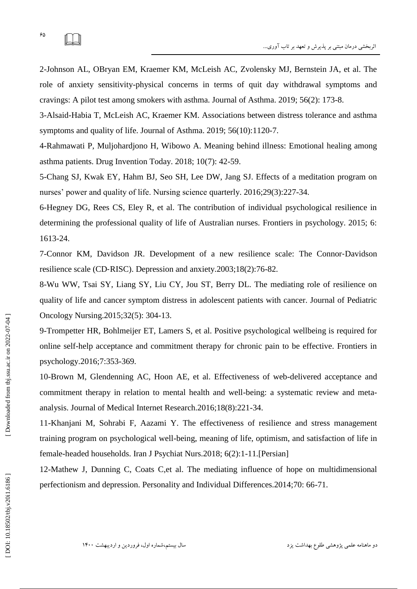role of anxiety sensitivity -physical concerns in terms of quit day withdrawal symptoms and cravings: A pilot test among smokers with asthma. Journal of Asthma. 2019; 56(2): 173 -8.

3 -Alsaid -Habia T, McLeish AC, Kraemer KM. Associations between distress tolerance and asthma symptoms and quality of life. Journal of Asthma. 2019; 56(10):1120 -7.

4 -Rahmawati P, Muljohardjono H, Wibowo A. Meaning behind illness: Emotional healing among asthma patients. Drug Invention Today. 2018; 10(7): 42 -59.

5 -Chang SJ, Kwak EY, Hahm BJ, Seo SH, Lee DW, Jang SJ. Effects of a meditation program on nurses' power and quality of life. Nursing science quarterly. 2016;29(3):227 -34.

6 -Hegney DG, Rees CS, Eley R, et al. The contribution of individual psychological resilience in determining the professional quality of life of Australian nurses. Frontiers in psychology. 2015; 6: 1613 -24.

7 -Connor KM, Davidson JR. Development of a new resilience scale: The Connor ‐Davidson resilience scale (CD ‐RISC). Depression and anxiety.2003;18(2):76 -82.

8 -Wu WW, Tsai SY, Liang SY, Liu CY, Jou ST, Berry DL. The mediating role of resilience on quality of life and cancer symptom distress in adolescent patients with cancer. Journal of Pediatric Oncology Nursing.2015;32(5): 304 -13.

9 -Trompetter HR, Bohlmeijer ET, Lamers S, et al. Positive psychological wellbeing is required for online self-help acceptance and commitment therapy for chronic pain to be effective. Frontiers in psychology.2016;7:353 -369.

10 -Brown M, Glendenning AC, Hoon AE, et al. Effectiveness of web -delivered acceptance and commitment therapy in relation to mental health and well -being: a systematic review and meta analysis. Journal of Medical Internet Research.2016;18(8):221 -34.

11 -Khanjani M, Sohrabi F, Aazami Y. The effectiveness of resilience and stress management training program on psychological well -being, meaning of life, optimism, and satisfaction of life in female -headed households. Iran J Psychiat Nurs.2018; 6(2):1 -11.[Persian]

12 -Mathew J, Dunning C, Coats C,et al. The mediating influence of hope on multidimensional perfectionism and depression. Personality and Individual Differences.2014;70: 66-71.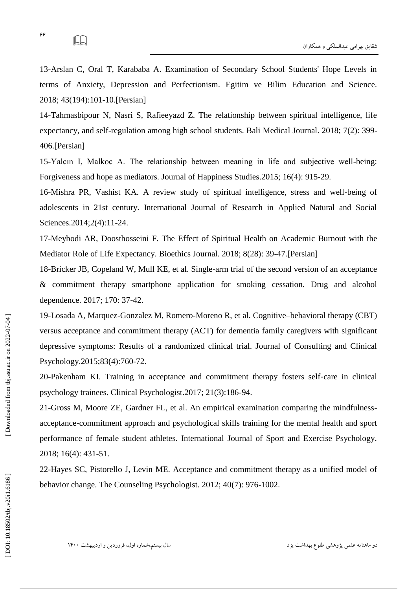13 -Arslan C, Oral T, Karababa A. Examination of Secondary School Students' Hope Levels in terms of Anxiety, Depression and Perfectionism. Egitim ve Bilim Education and Science. 2018; 43(194):101 -10.[Persian]

14 -Tahmasbipour N, Nasri S, Rafieeyazd Z. The relationship between spiritual intelligence, life expectancy, and self-regulation among high school students. Bali Medical Journal. 2018; 7(2): 399 - 406.[Persian]

15 -Yalcın I, Malkoc A. The relationship between meaning in life and subjective well -being: Forgiveness and hope as mediators. Journal of Happiness Studies .2015; 16(4): 915 -29.

16 -Mishra PR, Vashist KA. A review study of spiritual intelligence, stress and well -being of adolescents in 21st century. International Journal of Research in Applied Natural and Social Sciences.2014;2(4):11 -24.

17 -Meybodi AR, Doosthosseini F. The Effect of Spiritual Health on Academic Burnout with the Mediator Role of Life Expectancy. Bioethics Journal. 2018; 8(28): 39 -47.[Persian]

18 -Bricker JB, Copeland W, Mull KE, et al. Single -arm trial of the second version of an acceptance & commitment therapy smartphone application for smoking cessation. Drug and alcohol dependence. 2017; 170: 37 -42.

19 -Losada A, Marquez -Gonzalez M, Romero -Moreno R, et al. Cognitive –behavioral therapy (CBT) versus acceptance and commitment therapy (ACT) for dementia family caregivers with significant depressive symptoms: Results of a randomized clinical trial. Journal of Consulting and Clinical Psychology.2015;83(4):760 -72.

20 -Pakenham KI. Training in acceptance and commitment therapy fosters self ‐care in clinical psychology trainees. Clinical Psychologist.2017; 21(3):186 -94.

21 -Gross M, Moore ZE, Gardner FL, et al. An empirical examination comparing the mindfulness acceptance -commitment approach and psychological skills training for the mental health and sport performance of female student athletes. International Journal of Sport and Exercise Psychology. 2018; 16(4): 431 -51.

22 -Hayes SC, Pistorello J, Levin ME. Acceptance and commitment therapy as a unified model of behavior change. The Counseling Psychologist. 2012; 40(7): 976-1002.

IJ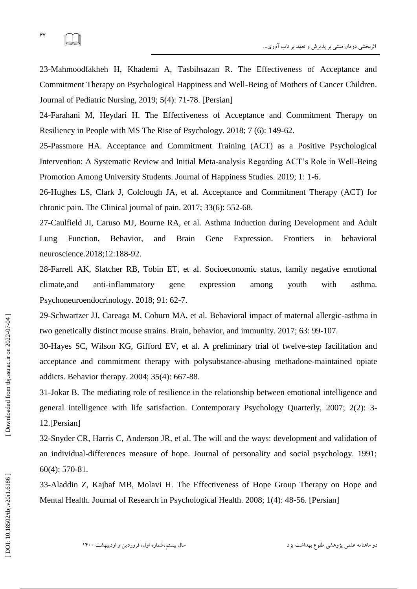$\Box$ 

23 -Mahmoodfakheh H, Khademi A, Tasbihsazan R. The Effectiveness of Acceptance and Commitment Therapy on Psychological Happiness and Well -Being of Mothers of Cancer Children. Journal of Pediatric Nursing, 2019; 5(4): 71 -78. [Persian]

24 -Farahani M, Heydari H. The Effectiveness of Acceptance and Commitment Therapy on Resiliency in People with MS The Rise of Psychology. 2018; 7 (6): 149 -62.

25 -Passmore HA. Acceptance and Commitment Training (ACT) as a Positive Psychological Intervention: A Systematic Review and Initial Meta -analysis Regarding ACT's Role in Well -Being Promotion Among University Students. Journal of Happiness Studies. 2019; 1: 1 -6.

26 -Hughes LS, Clark J, Colclough JA, et al. Acceptance and Commitment Therapy (ACT) for chronic pain. The Clinical journal of pain. 2017; 33(6): 552 -68.

27 -Caulfield JI, Caruso MJ, Bourne RA, et al. Asthma Induction during Development and Adult Lung Function, Behavior, and Brain Gene Expression. Frontiers in behavioral neuroscience.2018;12:188 -92.

28 -Farrell AK, Slatcher RB, Tobin ET, et al. Socioeconomic status, family negative emotional climate, and anti-inflammatory gene expression among youth with asthma. Psychoneuroendocrinology. 2018; 91: 62 -7.

29 -Schwartzer JJ, Careaga M, Coburn MA, et al. Behavioral impact of maternal allergic -asthma in two genetically distinct mouse strains. Brain, behavior, and immunity. 2017; 63: 99 -107.

30 -Hayes SC, Wilson KG, Gifford EV, et al. A preliminary trial of twelve -step facilitation and acceptance and commitment therapy with polysubstance -abusing methadone -maintained opiate addicts. Behavior therapy. 2004; 35(4): 667 -88.

31 -Jokar B. The mediating role of resilience in the relationship between emotional intelligence and general intelligence with life satisfaction. Contemporary Psychology Quarterly, 2007; 2(2): 3 - 12.[Persian]

32 -Snyder CR, Harris C, Anderson JR, et al. The will and the ways: development and validation of an individual -differences measure of hope. Journal of personality and social psychology. 1991; 60(4): 570 -81.

33 -Aladdin Z, Kajbaf MB, Molavi H. The Effectiveness of Hope Group Therapy on Hope and Mental Health. Journal of Research in Psychological Health. 2008; 1(4): 48 -56. [Persian]